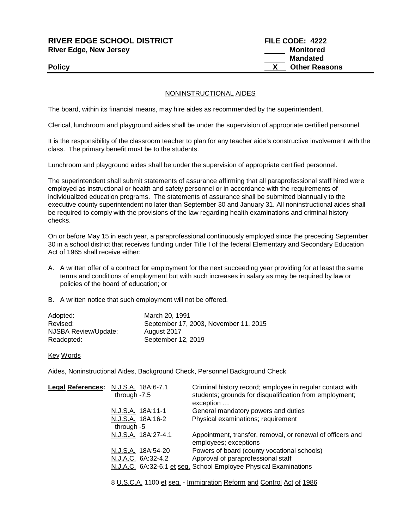## **RIVER EDGE SCHOOL DISTRICT FILE CODE: 4222 River Edge, New Jersey Monitored Monitored**

## NONINSTRUCTIONAL AIDES

The board, within its financial means, may hire aides as recommended by the superintendent.

Clerical, lunchroom and playground aides shall be under the supervision of appropriate certified personnel.

It is the responsibility of the classroom teacher to plan for any teacher aide's constructive involvement with the class. The primary benefit must be to the students.

Lunchroom and playground aides shall be under the supervision of appropriate certified personnel.

The superintendent shall submit statements of assurance affirming that all paraprofessional staff hired were employed as instructional or health and safety personnel or in accordance with the requirements of individualized education programs. The statements of assurance shall be submitted biannually to the executive county superintendent no later than September 30 and January 31. All noninstructional aides shall be required to comply with the provisions of the law regarding health examinations and criminal history checks.

On or before May 15 in each year, a paraprofessional continuously employed since the preceding September 30 in a school district that receives funding under Title I of the federal Elementary and Secondary Education Act of 1965 shall receive either:

- A. A written offer of a contract for employment for the next succeeding year providing for at least the same terms and conditions of employment but with such increases in salary as may be required by law or policies of the board of education; or
- B. A written notice that such employment will not be offered.

| March 20, 1991                        |
|---------------------------------------|
| September 17, 2003, November 11, 2015 |
| August 2017                           |
| September 12, 2019                    |
|                                       |

Key Words

Aides, Noninstructional Aides, Background Check, Personnel Background Check

| Legal References: N.J.S.A. 18A:6-7.1 | through $-7.5$ |                     | Criminal history record; employee in regular contact with<br>students; grounds for disqualification from employment;<br>exception |
|--------------------------------------|----------------|---------------------|-----------------------------------------------------------------------------------------------------------------------------------|
|                                      |                | N.J.S.A. 18A:11-1   | General mandatory powers and duties                                                                                               |
|                                      |                | N.J.S.A. 18A:16-2   | Physical examinations; requirement                                                                                                |
|                                      | through -5     |                     |                                                                                                                                   |
|                                      |                | N.J.S.A. 18A:27-4.1 | Appointment, transfer, removal, or renewal of officers and<br>employees; exceptions                                               |
|                                      |                | N.J.S.A. 18A:54-20  | Powers of board (county vocational schools)                                                                                       |
|                                      |                | N.J.A.C. 6A:32-4.2  | Approval of paraprofessional staff                                                                                                |
|                                      |                |                     | N.J.A.C. 6A:32-6.1 et seq. School Employee Physical Examinations                                                                  |
|                                      |                |                     |                                                                                                                                   |

8 U.S.C.A. 1100 et seq. - Immigration Reform and Control Act of 1986